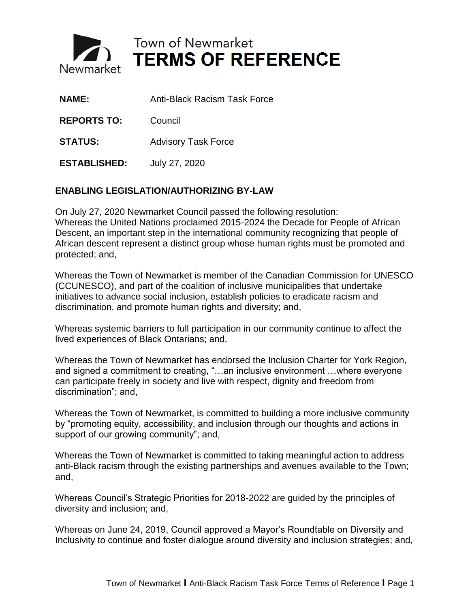

Town of Newmarket **TERMS OF REFERENCE** 

| <b>NAME:</b>        | <b>Anti-Black Racism Task Force</b> |
|---------------------|-------------------------------------|
| <b>REPORTS TO:</b>  | Council                             |
| <b>STATUS:</b>      | <b>Advisory Task Force</b>          |
| <b>ESTABLISHED:</b> | July 27, 2020                       |

## **ENABLING LEGISLATION/AUTHORIZING BY-LAW**

On July 27, 2020 Newmarket Council passed the following resolution: Whereas the United Nations proclaimed 2015-2024 the Decade for People of African Descent, an important step in the international community recognizing that people of African descent represent a distinct group whose human rights must be promoted and protected; and,

Whereas the Town of Newmarket is member of the Canadian Commission for UNESCO (CCUNESCO), and part of the coalition of inclusive municipalities that undertake initiatives to advance social inclusion, establish policies to eradicate racism and discrimination, and promote human rights and diversity; and,

Whereas systemic barriers to full participation in our community continue to affect the lived experiences of Black Ontarians; and,

Whereas the Town of Newmarket has endorsed the Inclusion Charter for York Region, and signed a commitment to creating, "…an inclusive environment …where everyone can participate freely in society and live with respect, dignity and freedom from discrimination"; and,

Whereas the Town of Newmarket, is committed to building a more inclusive community by "promoting equity, accessibility, and inclusion through our thoughts and actions in support of our growing community"; and,

Whereas the Town of Newmarket is committed to taking meaningful action to address anti-Black racism through the existing partnerships and avenues available to the Town; and,

Whereas Council's Strategic Priorities for 2018-2022 are guided by the principles of diversity and inclusion; and,

Whereas on June 24, 2019, Council approved a Mayor's Roundtable on Diversity and Inclusivity to continue and foster dialogue around diversity and inclusion strategies; and,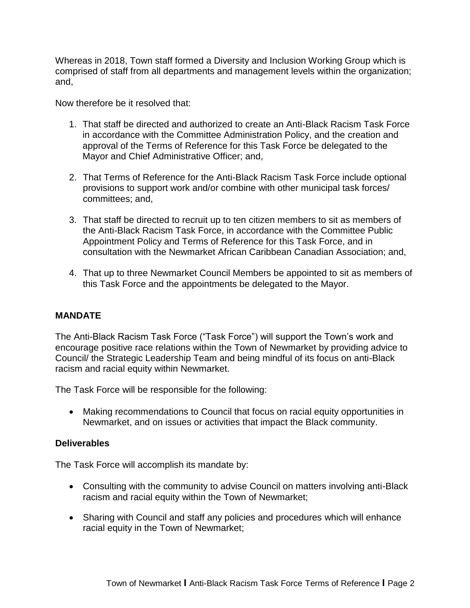Whereas in 2018, Town staff formed a Diversity and Inclusion Working Group which is comprised of staff from all departments and management levels within the organization; and,

Now therefore be it resolved that:

- 1. That staff be directed and authorized to create an Anti-Black Racism Task Force in accordance with the Committee Administration Policy, and the creation and approval of the Terms of Reference for this Task Force be delegated to the Mayor and Chief Administrative Officer; and,
- 2. That Terms of Reference for the Anti-Black Racism Task Force include optional provisions to support work and/or combine with other municipal task forces/ committees; and,
- 3. That staff be directed to recruit up to ten citizen members to sit as members of the Anti-Black Racism Task Force, in accordance with the Committee Public Appointment Policy and Terms of Reference for this Task Force, and in consultation with the Newmarket African Caribbean Canadian Association; and,
- 4. That up to three Newmarket Council Members be appointed to sit as members of this Task Force and the appointments be delegated to the Mayor.

## **MANDATE**

The Anti-Black Racism Task Force ("Task Force") will support the Town's work and encourage positive race relations within the Town of Newmarket by providing advice to Council/ the Strategic Leadership Team and being mindful of its focus on anti-Black racism and racial equity within Newmarket.

The Task Force will be responsible for the following:

 Making recommendations to Council that focus on racial equity opportunities in Newmarket, and on issues or activities that impact the Black community.

## **Deliverables**

The Task Force will accomplish its mandate by:

- Consulting with the community to advise Council on matters involving anti-Black racism and racial equity within the Town of Newmarket;
- Sharing with Council and staff any policies and procedures which will enhance racial equity in the Town of Newmarket;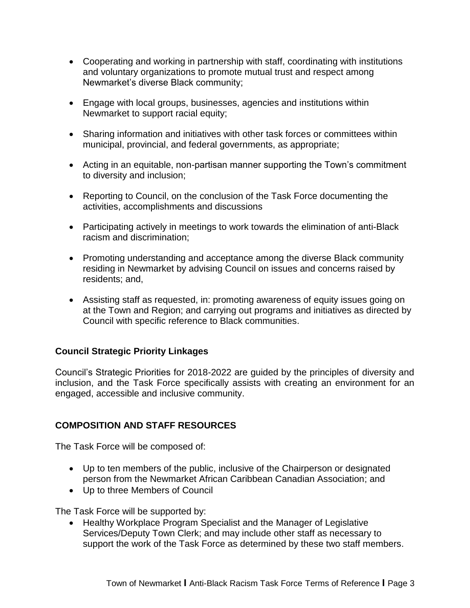- Cooperating and working in partnership with staff, coordinating with institutions and voluntary organizations to promote mutual trust and respect among Newmarket's diverse Black community;
- Engage with local groups, businesses, agencies and institutions within Newmarket to support racial equity;
- Sharing information and initiatives with other task forces or committees within municipal, provincial, and federal governments, as appropriate;
- Acting in an equitable, non-partisan manner supporting the Town's commitment to diversity and inclusion;
- Reporting to Council, on the conclusion of the Task Force documenting the activities, accomplishments and discussions
- Participating actively in meetings to work towards the elimination of anti-Black racism and discrimination;
- Promoting understanding and acceptance among the diverse Black community residing in Newmarket by advising Council on issues and concerns raised by residents; and,
- Assisting staff as requested, in: promoting awareness of equity issues going on at the Town and Region; and carrying out programs and initiatives as directed by Council with specific reference to Black communities.

# **Council Strategic Priority Linkages**

Council's Strategic Priorities for 2018-2022 are guided by the principles of diversity and inclusion, and the Task Force specifically assists with creating an environment for an engaged, accessible and inclusive community.

# **COMPOSITION AND STAFF RESOURCES**

The Task Force will be composed of:

- Up to ten members of the public, inclusive of the Chairperson or designated person from the Newmarket African Caribbean Canadian Association; and
- Up to three Members of Council

The Task Force will be supported by:

• Healthy Workplace Program Specialist and the Manager of Legislative Services/Deputy Town Clerk; and may include other staff as necessary to support the work of the Task Force as determined by these two staff members.